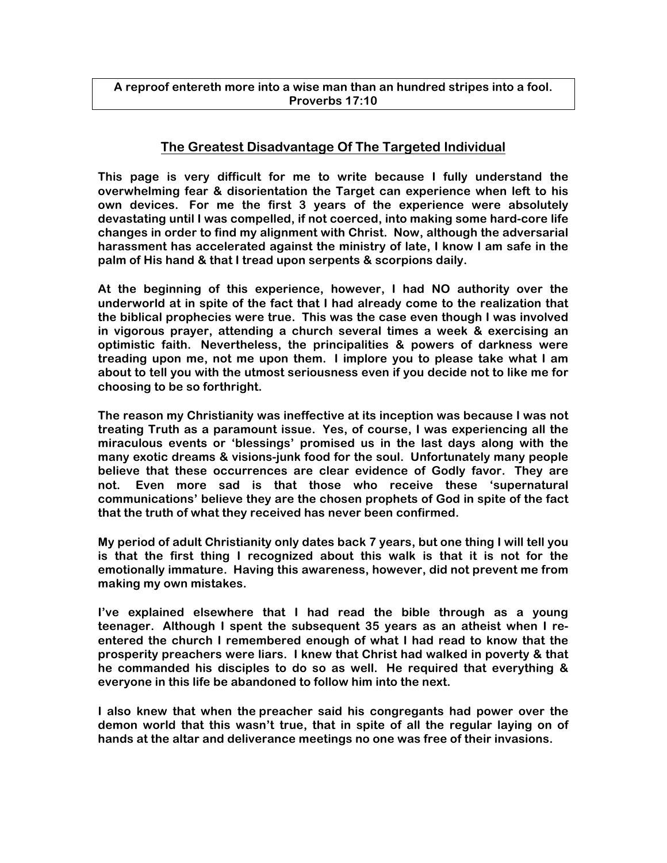#### **A reproof entereth more into a wise man than an hundred stripes into a fool. Proverbs 17:10**

### **The Greatest Disadvantage Of The Targeted Individual**

**This page is very difficult for me to write because I fully understand the overwhelming fear & disorientation the Target can experience when left to his own devices. For me the first 3 years of the experience were absolutely devastating until I was compelled, if not coerced, into making some hard-core life changes in order to find my alignment with Christ. Now, although the adversarial harassment has accelerated against the ministry of late, I know I am safe in the palm of His hand & that I tread upon serpents & scorpions daily.**

**At the beginning of this experience, however, I had NO authority over the underworld at in spite of the fact that I had already come to the realization that the biblical prophecies were true. This was the case even though I was involved in vigorous prayer, attending a church several times a week & exercising an optimistic faith. Nevertheless, the principalities & powers of darkness were treading upon me, not me upon them. I implore you to please take what I am about to tell you with the utmost seriousness even if you decide not to like me for choosing to be so forthright.**

**The reason my Christianity was ineffective at its inception was because I was not treating Truth as a paramount issue. Yes, of course, I was experiencing all the miraculous events or 'blessings' promised us in the last days along with the many exotic dreams & visions-junk food for the soul. Unfortunately many people believe that these occurrences are clear evidence of Godly favor. They are not. Even more sad is that those who receive these 'supernatural communications' believe they are the chosen prophets of God in spite of the fact that the truth of what they received has never been confirmed.** 

**My period of adult Christianity only dates back 7 years, but one thing I will tell you is that the first thing I recognized about this walk is that it is not for the emotionally immature. Having this awareness, however, did not prevent me from making my own mistakes.**

**I've explained elsewhere that I had read the bible through as a young teenager. Although I spent the subsequent 35 years as an atheist when I reentered the church I remembered enough of what I had read to know that the prosperity preachers were liars. I knew that Christ had walked in poverty & that he commanded his disciples to do so as well. He required that everything & everyone in this life be abandoned to follow him into the next.**

**I also knew that when the preacher said his congregants had power over the demon world that this wasn't true, that in spite of all the regular laying on of hands at the altar and deliverance meetings no one was free of their invasions.**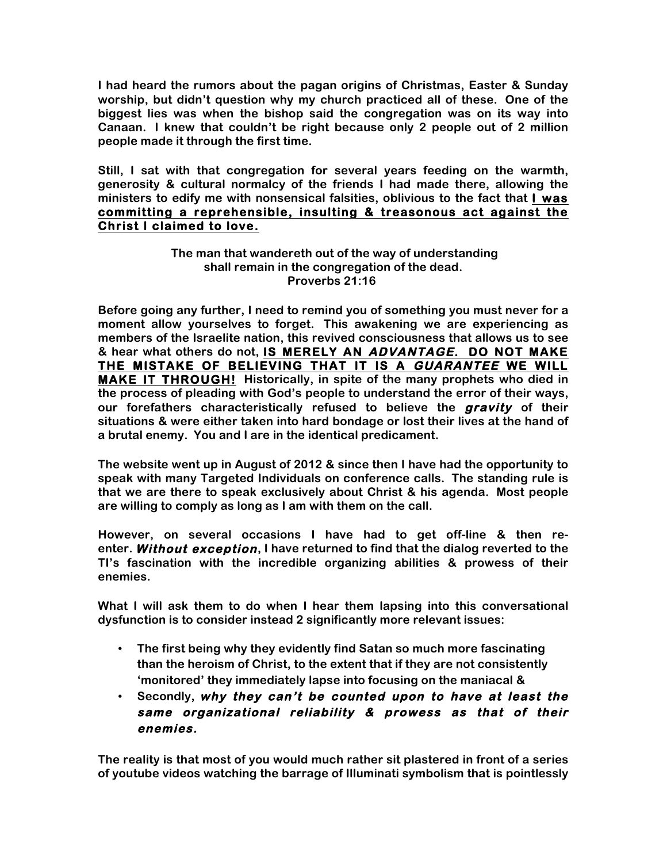**I had heard the rumors about the pagan origins of Christmas, Easter & Sunday worship, but didn't question why my church practiced all of these. One of the biggest lies was when the bishop said the congregation was on its way into Canaan. I knew that couldn't be right because only 2 people out of 2 million people made it through the first time.**

**Still, I sat with that congregation for several years feeding on the warmth, generosity & cultural normalcy of the friends I had made there, allowing the ministers to edify me with nonsensical falsities, oblivious to the fact that I was committing a reprehensible, insulting & treasonous act against the Christ I claimed to love.** 

#### **The man that wandereth out of the way of understanding shall remain in the congregation of the dead. Proverbs 21:16**

**Before going any further, I need to remind you of something you must never for a moment allow yourselves to forget. This awakening we are experiencing as members of the Israelite nation, this revived consciousness that allows us to see & hear what others do not, IS MERELY AN ADVANTAGE. DO NOT MAKE THE MISTAKE OF BELIEVING THAT IT IS A GUARANTEE WE WILL MAKE IT THROUGH! Historically, in spite of the many prophets who died in the process of pleading with God's people to understand the error of their ways, our forefathers characteristically refused to believe the gravity of their situations & were either taken into hard bondage or lost their lives at the hand of a brutal enemy. You and I are in the identical predicament.**

**The website went up in August of 2012 & since then I have had the opportunity to speak with many Targeted Individuals on conference calls. The standing rule is that we are there to speak exclusively about Christ & his agenda. Most people are willing to comply as long as I am with them on the call.** 

**However, on several occasions I have had to get off-line & then reenter. Without exception, I have returned to find that the dialog reverted to the TI's fascination with the incredible organizing abilities & prowess of their enemies.**

**What I will ask them to do when I hear them lapsing into this conversational dysfunction is to consider instead 2 significantly more relevant issues:**

- **The first being why they evidently find Satan so much more fascinating than the heroism of Christ, to the extent that if they are not consistently 'monitored' they immediately lapse into focusing on the maniacal &**
- **Secondly, why they can't be counted upon to have at least the same organizational reliability & prowess as that of their enemies.**

**The reality is that most of you would much rather sit plastered in front of a series of youtube videos watching the barrage of Illuminati symbolism that is pointlessly**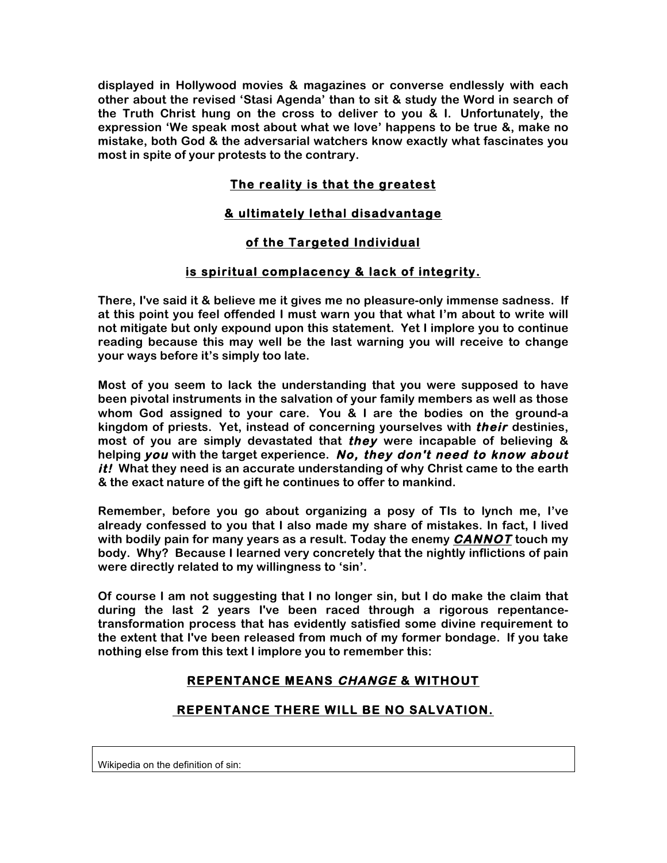**displayed in Hollywood movies & magazines or converse endlessly with each other about the revised 'Stasi Agenda' than to sit & study the Word in search of the Truth Christ hung on the cross to deliver to you & I. Unfortunately, the expression 'We speak most about what we love' happens to be true &, make no mistake, both God & the adversarial watchers know exactly what fascinates you most in spite of your protests to the contrary.**

# **The reality is that the greatest**

## **& ultimately lethal disadvantage**

### **of the Targeted Individual**

### **is spiritual complacency & lack of integrity.**

**There, I've said it & believe me it gives me no pleasure-only immense sadness. If at this point you feel offended I must warn you that what I'm about to write will not mitigate but only expound upon this statement. Yet I implore you to continue reading because this may well be the last warning you will receive to change your ways before it's simply too late.**

**Most of you seem to lack the understanding that you were supposed to have been pivotal instruments in the salvation of your family members as well as those whom God assigned to your care. You & I are the bodies on the ground-a kingdom of priests. Yet, instead of concerning yourselves with their destinies, most of you are simply devastated that they were incapable of believing & helping you with the target experience. No, they don't need to know about it! What they need is an accurate understanding of why Christ came to the earth & the exact nature of the gift he continues to offer to mankind.**

**Remember, before you go about organizing a posy of TIs to lynch me, I've already confessed to you that I also made my share of mistakes. In fact, I lived with bodily pain for many years as a result. Today the enemy CANNOT touch my body. Why? Because I learned very concretely that the nightly inflictions of pain were directly related to my willingness to 'sin'.** 

**Of course I am not suggesting that I no longer sin, but I do make the claim that during the last 2 years I've been raced through a rigorous repentancetransformation process that has evidently satisfied some divine requirement to the extent that I've been released from much of my former bondage. If you take nothing else from this text I implore you to remember this:**

# **REPENTANCE MEANS CHANGE & WITHOUT**

### **REPENTANCE THERE WILL BE NO SALVATION.**

Wikipedia on the definition of sin: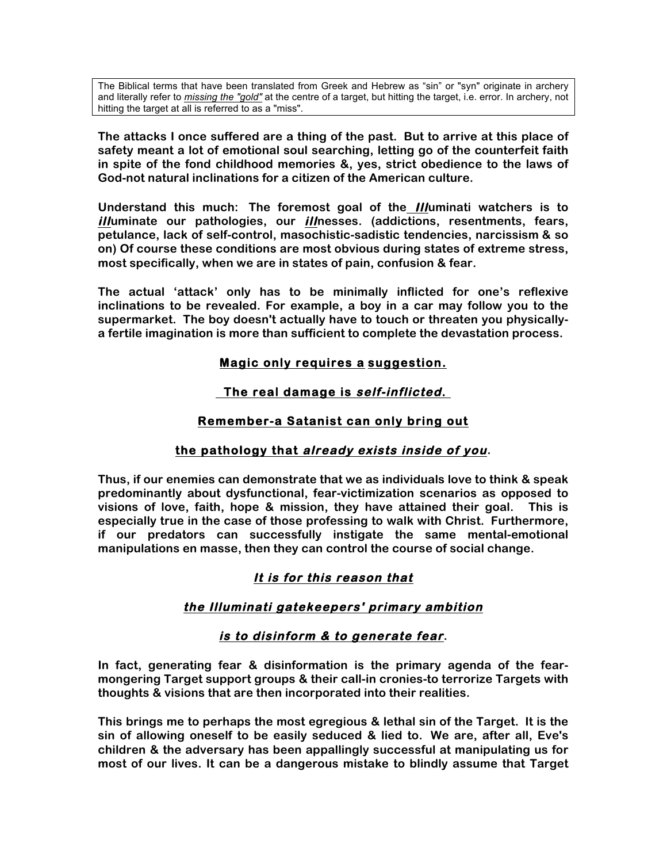The Biblical terms that have been translated from Greek and Hebrew as "sin" or "syn" originate in archery and literally refer to *missing the "gold"* at the centre of a target, but hitting the target, i.e. error. In archery, not hitting the target at all is referred to as a "miss".

**The attacks I once suffered are a thing of the past. But to arrive at this place of safety meant a lot of emotional soul searching, letting go of the counterfeit faith in spite of the fond childhood memories &, yes, strict obedience to the laws of God-not natural inclinations for a citizen of the American culture.**

**Understand this much: The foremost goal of the Illuminati watchers is to illuminate our pathologies, our illnesses. (addictions, resentments, fears, petulance, lack of self-control, masochistic-sadistic tendencies, narcissism & so on) Of course these conditions are most obvious during states of extreme stress, most specifically, when we are in states of pain, confusion & fear.** 

**The actual 'attack' only has to be minimally inflicted for one's reflexive inclinations to be revealed. For example, a boy in a car may follow you to the supermarket. The boy doesn't actually have to touch or threaten you physicallya fertile imagination is more than sufficient to complete the devastation process.** 

### **Magic only requires a suggestion.**

### **The real damage is self-inflicted.**

### **Remember-a Satanist can only bring out**

### **the pathology that already exists inside of you.**

**Thus, if our enemies can demonstrate that we as individuals love to think & speak predominantly about dysfunctional, fear-victimization scenarios as opposed to visions of love, faith, hope & mission, they have attained their goal. This is especially true in the case of those professing to walk with Christ. Furthermore, if our predators can successfully instigate the same mental-emotional manipulations en masse, then they can control the course of social change.**

### **It is for this reason that**

### **the Illuminati gatekeepers' primary ambition**

### **is to disinform & to generate fear.**

**In fact, generating fear & disinformation is the primary agenda of the fearmongering Target support groups & their call-in cronies-to terrorize Targets with thoughts & visions that are then incorporated into their realities.**

**This brings me to perhaps the most egregious & lethal sin of the Target. It is the sin of allowing oneself to be easily seduced & lied to. We are, after all, Eve's children & the adversary has been appallingly successful at manipulating us for most of our lives. It can be a dangerous mistake to blindly assume that Target**